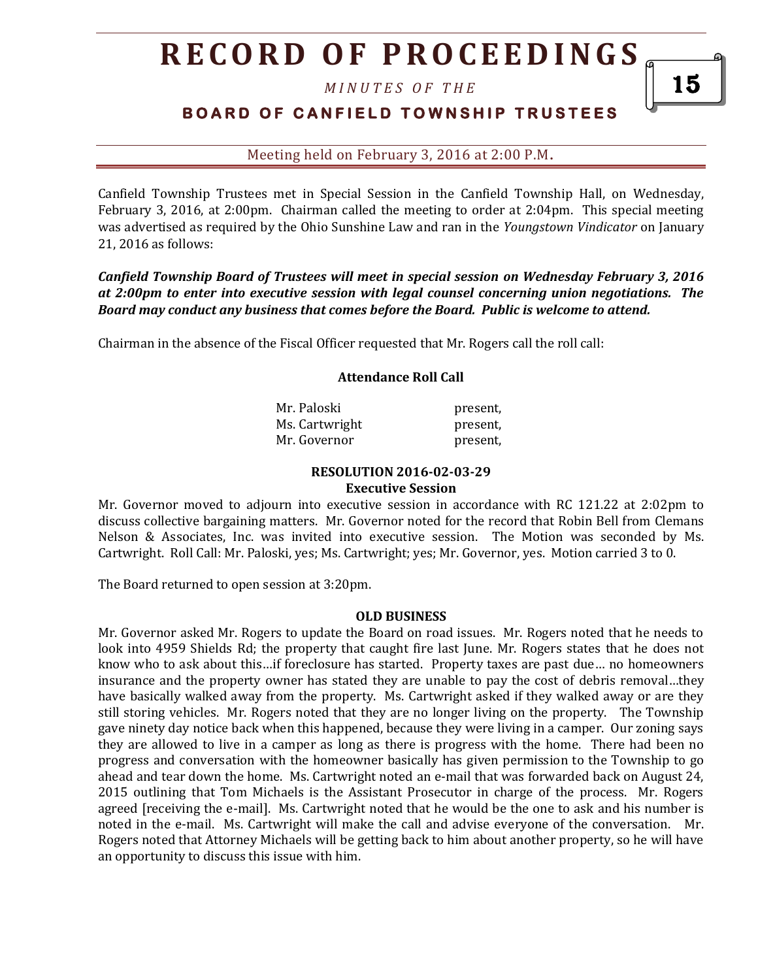## **R E C O R D O F P R O C E E D I N GS**

*M I N U T E S O F T H E* 

## **BOARD OF CANFIELD TOWNSHIP TRUSTEES**

Meeting held on February 3, 2016 at 2:00 P.M**.**

Canfield Township Trustees met in Special Session in the Canfield Township Hall, on Wednesday, February 3, 2016, at 2:00pm. Chairman called the meeting to order at 2:04pm. This special meeting was advertised as required by the Ohio Sunshine Law and ran in the *Youngstown Vindicator* on January 21, 2016 as follows:

*Canfield Township Board of Trustees will meet in special session on Wednesday February 3, 2016 at 2:00pm to enter into executive session with legal counsel concerning union negotiations. The Board may conduct any business that comes before the Board. Public is welcome to attend.*

Chairman in the absence of the Fiscal Officer requested that Mr. Rogers call the roll call:

#### **Attendance Roll Call**

| Mr. Paloski    | present, |
|----------------|----------|
| Ms. Cartwright | present, |
| Mr. Governor   | present, |

#### **RESOLUTION 2016-02-03-29 Executive Session**

Mr. Governor moved to adjourn into executive session in accordance with RC 121.22 at 2:02pm to discuss collective bargaining matters. Mr. Governor noted for the record that Robin Bell from Clemans Nelson & Associates, Inc. was invited into executive session. The Motion was seconded by Ms. Cartwright. Roll Call: Mr. Paloski, yes; Ms. Cartwright; yes; Mr. Governor, yes. Motion carried 3 to 0.

The Board returned to open session at 3:20pm.

#### **OLD BUSINESS**

Mr. Governor asked Mr. Rogers to update the Board on road issues. Mr. Rogers noted that he needs to look into 4959 Shields Rd; the property that caught fire last June. Mr. Rogers states that he does not know who to ask about this…if foreclosure has started. Property taxes are past due… no homeowners insurance and the property owner has stated they are unable to pay the cost of debris removal…they have basically walked away from the property. Ms. Cartwright asked if they walked away or are they still storing vehicles. Mr. Rogers noted that they are no longer living on the property. The Township gave ninety day notice back when this happened, because they were living in a camper. Our zoning says they are allowed to live in a camper as long as there is progress with the home. There had been no progress and conversation with the homeowner basically has given permission to the Township to go ahead and tear down the home. Ms. Cartwright noted an e-mail that was forwarded back on August 24, 2015 outlining that Tom Michaels is the Assistant Prosecutor in charge of the process. Mr. Rogers agreed [receiving the e-mail]. Ms. Cartwright noted that he would be the one to ask and his number is noted in the e-mail. Ms. Cartwright will make the call and advise everyone of the conversation. Mr. Rogers noted that Attorney Michaels will be getting back to him about another property, so he will have an opportunity to discuss this issue with him.